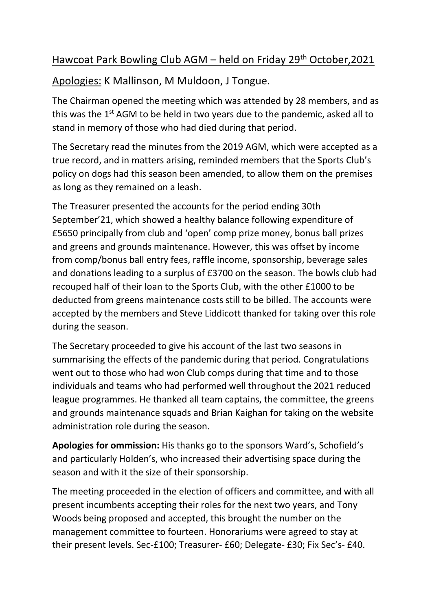## Hawcoat Park Bowling Club AGM – held on Friday 29th October,2021

Apologies: K Mallinson, M Muldoon, J Tongue.

The Chairman opened the meeting which was attended by 28 members, and as this was the  $1<sup>st</sup>$  AGM to be held in two years due to the pandemic, asked all to stand in memory of those who had died during that period.

The Secretary read the minutes from the 2019 AGM, which were accepted as a true record, and in matters arising, reminded members that the Sports Club's policy on dogs had this season been amended, to allow them on the premises as long as they remained on a leash.

The Treasurer presented the accounts for the period ending 30th September'21, which showed a healthy balance following expenditure of £5650 principally from club and 'open' comp prize money, bonus ball prizes and greens and grounds maintenance. However, this was offset by income from comp/bonus ball entry fees, raffle income, sponsorship, beverage sales and donations leading to a surplus of £3700 on the season. The bowls club had recouped half of their loan to the Sports Club, with the other £1000 to be deducted from greens maintenance costs still to be billed. The accounts were accepted by the members and Steve Liddicott thanked for taking over this role during the season.

The Secretary proceeded to give his account of the last two seasons in summarising the effects of the pandemic during that period. Congratulations went out to those who had won Club comps during that time and to those individuals and teams who had performed well throughout the 2021 reduced league programmes. He thanked all team captains, the committee, the greens and grounds maintenance squads and Brian Kaighan for taking on the website administration role during the season.

**Apologies for ommission:** His thanks go to the sponsors Ward's, Schofield's and particularly Holden's, who increased their advertising space during the season and with it the size of their sponsorship.

The meeting proceeded in the election of officers and committee, and with all present incumbents accepting their roles for the next two years, and Tony Woods being proposed and accepted, this brought the number on the management committee to fourteen. Honorariums were agreed to stay at their present levels. Sec-£100; Treasurer- £60; Delegate- £30; Fix Sec's- £40.